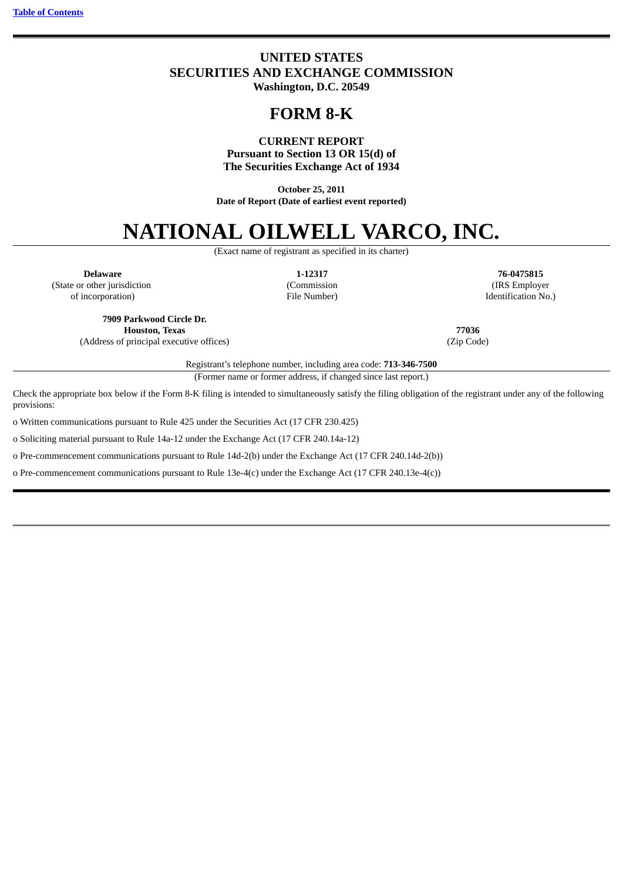### **UNITED STATES SECURITIES AND EXCHANGE COMMISSION Washington, D.C. 20549**

## **FORM 8-K**

**CURRENT REPORT Pursuant to Section 13 OR 15(d) of The Securities Exchange Act of 1934**

**October 25, 2011 Date of Report (Date of earliest event reported)**

# **NATIONAL OILWELL VARCO, INC.**

(Exact name of registrant as specified in its charter)

**Delaware 1-12317 76-0475815** (State or other jurisdiction of incorporation)

(Commission File Number)

(IRS Employer Identification No.)

**7909 Parkwood Circle Dr. Houston, Texas 77036** (Address of principal executive offices) (Zip Code)

Registrant's telephone number, including area code: **713-346-7500**

(Former name or former address, if changed since last report.)

Check the appropriate box below if the Form 8-K filing is intended to simultaneously satisfy the filing obligation of the registrant under any of the following provisions:

o Written communications pursuant to Rule 425 under the Securities Act (17 CFR 230.425)

o Soliciting material pursuant to Rule 14a-12 under the Exchange Act (17 CFR 240.14a-12)

o Pre-commencement communications pursuant to Rule 14d-2(b) under the Exchange Act (17 CFR 240.14d-2(b))

o Pre-commencement communications pursuant to Rule 13e-4(c) under the Exchange Act (17 CFR 240.13e-4(c))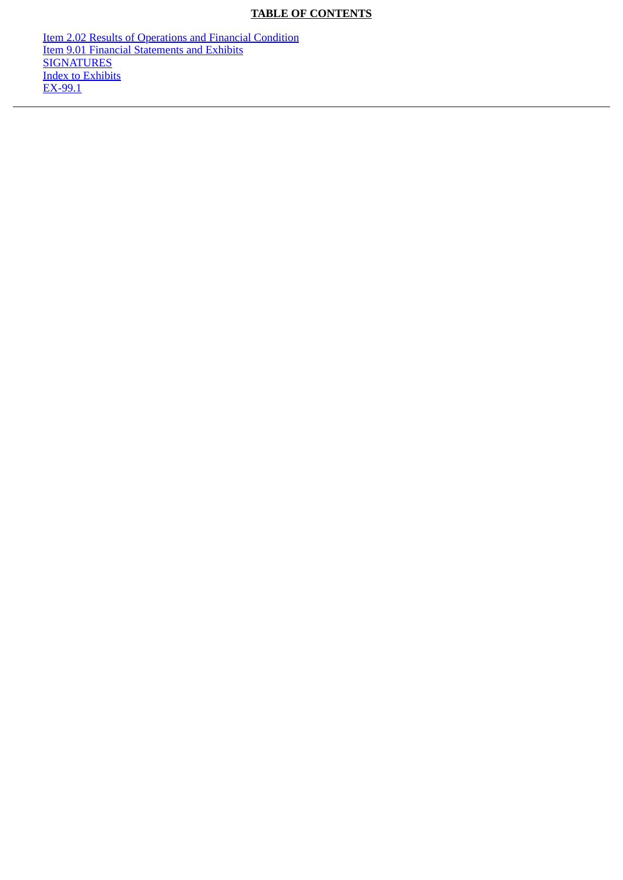## **TABLE OF CONTENTS**

<span id="page-2-0"></span>**[Item 2.02 Results of Operations and Financial Condition](#page-3-0)** [Item 9.01 Financial Statements and Exhibits](#page-3-1) **[SIGNATURES](#page-3-2)** [Index to Exhibits](#page-4-0) EX-99.1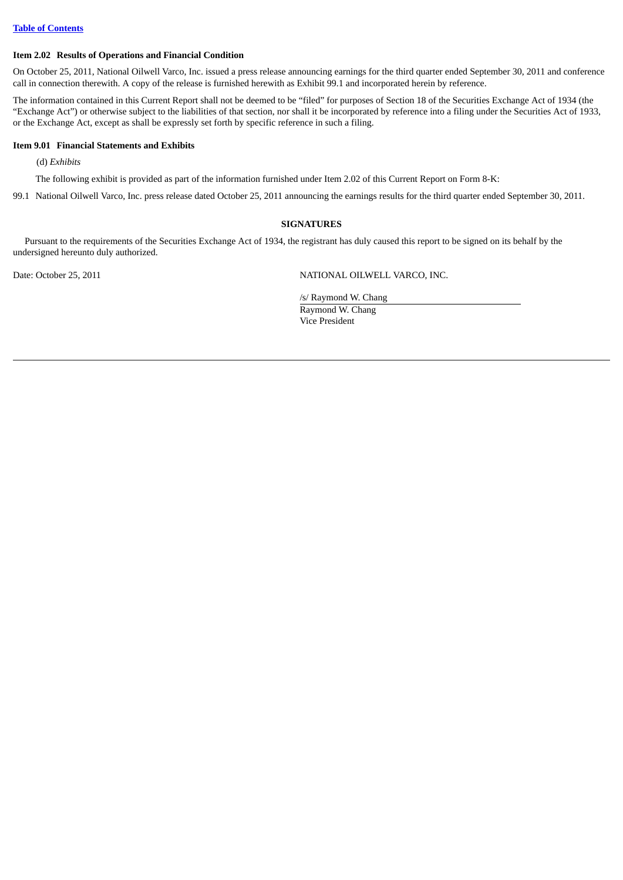#### <span id="page-3-0"></span>**Item 2.02 Results of Operations and Financial Condition**

On October 25, 2011, National Oilwell Varco, Inc. issued a press release announcing earnings for the third quarter ended September 30, 2011 and conference call in connection therewith. A copy of the release is furnished herewith as Exhibit 99.1 and incorporated herein by reference.

The information contained in this Current Report shall not be deemed to be "filed" for purposes of Section 18 of the Securities Exchange Act of 1934 (the "Exchange Act") or otherwise subject to the liabilities of that section, nor shall it be incorporated by reference into a filing under the Securities Act of 1933, or the Exchange Act, except as shall be expressly set forth by specific reference in such a filing.

#### <span id="page-3-1"></span>**Item 9.01 Financial Statements and Exhibits**

(d) *Exhibits*

The following exhibit is provided as part of the information furnished under Item 2.02 of this Current Report on Form 8-K:

<span id="page-3-2"></span>99.1 National Oilwell Varco, Inc. press release dated October 25, 2011 announcing the earnings results for the third quarter ended September 30, 2011.

#### **SIGNATURES**

Pursuant to the requirements of the Securities Exchange Act of 1934, the registrant has duly caused this report to be signed on its behalf by the undersigned hereunto duly authorized.

Date: October 25, 2011 NATIONAL OILWELL VARCO, INC.

/s/ Raymond W. Chang Raymond W. Chang Vice President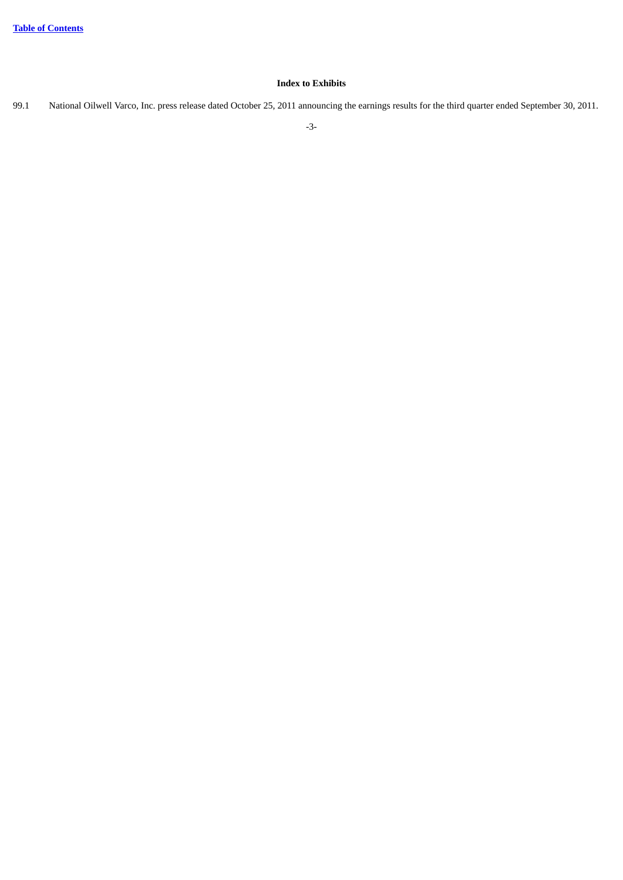#### **Index to Exhibits**

<span id="page-4-0"></span>99.1 National Oilwell Varco, Inc. press release dated October 25, 2011 announcing the earnings results for the third quarter ended September 30, 2011.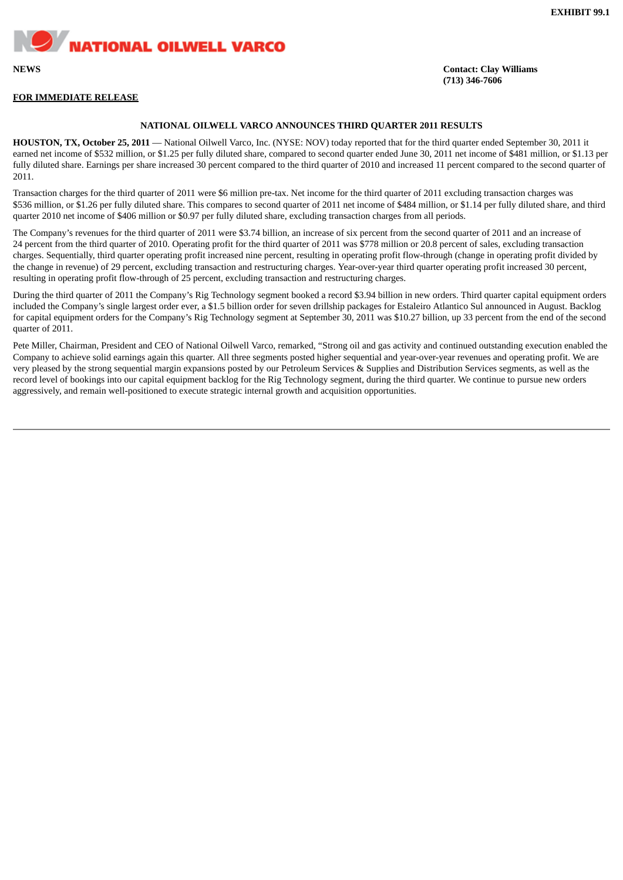**EXHIBIT 99.1**

**NATIONAL OILWELL VARCO** 

**FOR IMMEDIATE RELEASE**

**NEWS Contact: Clay Williams (713) 346-7606**

#### **NATIONAL OILWELL VARCO ANNOUNCES THIRD QUARTER 2011 RESULTS**

**HOUSTON, TX, October 25, 2011** — National Oilwell Varco, Inc. (NYSE: NOV) today reported that for the third quarter ended September 30, 2011 it earned net income of \$532 million, or \$1.25 per fully diluted share, compared to second quarter ended June 30, 2011 net income of \$481 million, or \$1.13 per fully diluted share. Earnings per share increased 30 percent compared to the third quarter of 2010 and increased 11 percent compared to the second quarter of 2011.

Transaction charges for the third quarter of 2011 were \$6 million pre-tax. Net income for the third quarter of 2011 excluding transaction charges was \$536 million, or \$1.26 per fully diluted share. This compares to second quarter of 2011 net income of \$484 million, or \$1.14 per fully diluted share, and third quarter 2010 net income of \$406 million or \$0.97 per fully diluted share, excluding transaction charges from all periods.

The Company's revenues for the third quarter of 2011 were \$3.74 billion, an increase of six percent from the second quarter of 2011 and an increase of 24 percent from the third quarter of 2010. Operating profit for the third quarter of 2011 was \$778 million or 20.8 percent of sales, excluding transaction charges. Sequentially, third quarter operating profit increased nine percent, resulting in operating profit flow-through (change in operating profit divided by the change in revenue) of 29 percent, excluding transaction and restructuring charges. Year-over-year third quarter operating profit increased 30 percent, resulting in operating profit flow-through of 25 percent, excluding transaction and restructuring charges.

During the third quarter of 2011 the Company's Rig Technology segment booked a record \$3.94 billion in new orders. Third quarter capital equipment orders included the Company's single largest order ever, a \$1.5 billion order for seven drillship packages for Estaleiro Atlantico Sul announced in August. Backlog for capital equipment orders for the Company's Rig Technology segment at September 30, 2011 was \$10.27 billion, up 33 percent from the end of the second quarter of 2011.

Pete Miller, Chairman, President and CEO of National Oilwell Varco, remarked, "Strong oil and gas activity and continued outstanding execution enabled the Company to achieve solid earnings again this quarter. All three segments posted higher sequential and year-over-year revenues and operating profit. We are very pleased by the strong sequential margin expansions posted by our Petroleum Services & Supplies and Distribution Services segments, as well as the record level of bookings into our capital equipment backlog for the Rig Technology segment, during the third quarter. We continue to pursue new orders aggressively, and remain well-positioned to execute strategic internal growth and acquisition opportunities.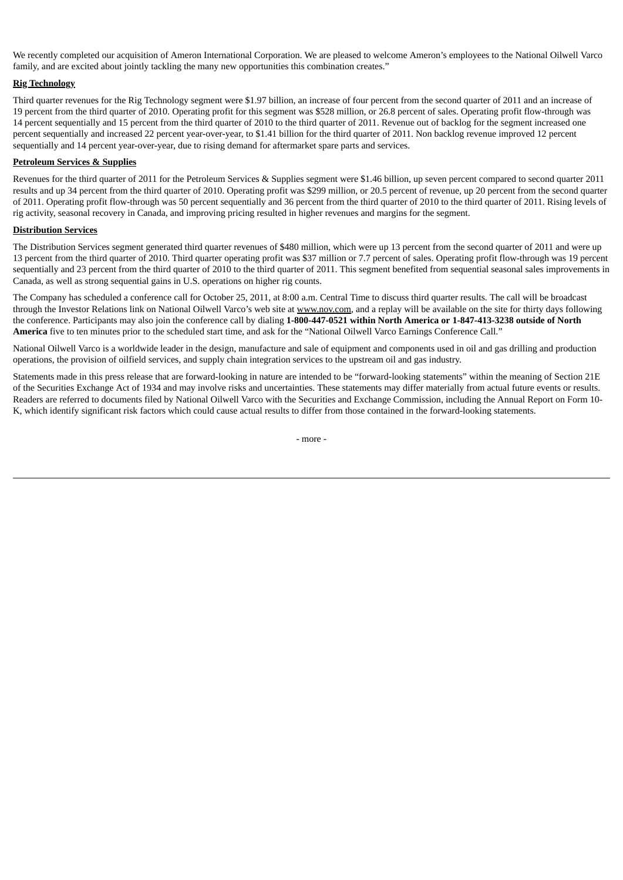We recently completed our acquisition of Ameron International Corporation. We are pleased to welcome Ameron's employees to the National Oilwell Varco family, and are excited about jointly tackling the many new opportunities this combination creates."

#### **Rig Technology**

Third quarter revenues for the Rig Technology segment were \$1.97 billion, an increase of four percent from the second quarter of 2011 and an increase of 19 percent from the third quarter of 2010. Operating profit for this segment was \$528 million, or 26.8 percent of sales. Operating profit flow-through was 14 percent sequentially and 15 percent from the third quarter of 2010 to the third quarter of 2011. Revenue out of backlog for the segment increased one percent sequentially and increased 22 percent year-over-year, to \$1.41 billion for the third quarter of 2011. Non backlog revenue improved 12 percent sequentially and 14 percent year-over-year, due to rising demand for aftermarket spare parts and services.

#### **Petroleum Services & Supplies**

Revenues for the third quarter of 2011 for the Petroleum Services & Supplies segment were \$1.46 billion, up seven percent compared to second quarter 2011 results and up 34 percent from the third quarter of 2010. Operating profit was \$299 million, or 20.5 percent of revenue, up 20 percent from the second quarter of 2011. Operating profit flow-through was 50 percent sequentially and 36 percent from the third quarter of 2010 to the third quarter of 2011. Rising levels of rig activity, seasonal recovery in Canada, and improving pricing resulted in higher revenues and margins for the segment.

#### **Distribution Services**

The Distribution Services segment generated third quarter revenues of \$480 million, which were up 13 percent from the second quarter of 2011 and were up 13 percent from the third quarter of 2010. Third quarter operating profit was \$37 million or 7.7 percent of sales. Operating profit flow-through was 19 percent sequentially and 23 percent from the third quarter of 2010 to the third quarter of 2011. This segment benefited from sequential seasonal sales improvements in Canada, as well as strong sequential gains in U.S. operations on higher rig counts.

The Company has scheduled a conference call for October 25, 2011, at 8:00 a.m. Central Time to discuss third quarter results. The call will be broadcast through the Investor Relations link on National Oilwell Varco's web site at www.nov.com, and a replay will be available on the site for thirty days following the conference. Participants may also join the conference call by dialing **1-800-447-0521 within North America or 1-847-413-3238 outside of North America** five to ten minutes prior to the scheduled start time, and ask for the "National Oilwell Varco Earnings Conference Call."

National Oilwell Varco is a worldwide leader in the design, manufacture and sale of equipment and components used in oil and gas drilling and production operations, the provision of oilfield services, and supply chain integration services to the upstream oil and gas industry.

Statements made in this press release that are forward-looking in nature are intended to be "forward-looking statements" within the meaning of Section 21E of the Securities Exchange Act of 1934 and may involve risks and uncertainties. These statements may differ materially from actual future events or results. Readers are referred to documents filed by National Oilwell Varco with the Securities and Exchange Commission, including the Annual Report on Form 10- K, which identify significant risk factors which could cause actual results to differ from those contained in the forward-looking statements.

- more -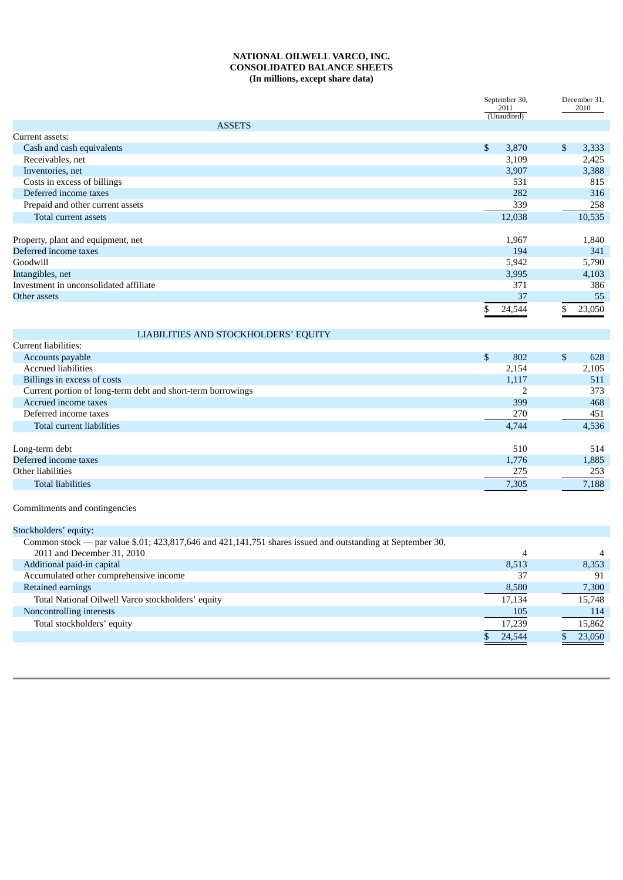#### **NATIONAL OILWELL VARCO, INC. CONSOLIDATED BALANCE SHEETS (In millions, except share data)**

|                                        | September 30,<br>2011<br>(Unaudited) | December 31,<br>2010    |
|----------------------------------------|--------------------------------------|-------------------------|
| <b>ASSETS</b>                          |                                      |                         |
| Current assets:                        |                                      |                         |
| Cash and cash equivalents              | $\mathfrak{S}$<br>3,870              | $\mathfrak{S}$<br>3,333 |
| Receivables, net                       | 3,109                                | 2,425                   |
| Inventories, net                       | 3,907                                | 3,388                   |
| Costs in excess of billings            | 531                                  | 815                     |
| Deferred income taxes                  | 282                                  | 316                     |
| Prepaid and other current assets       | 339                                  | 258                     |
| Total current assets                   | 12,038                               | 10,535                  |
|                                        |                                      |                         |
| Property, plant and equipment, net     | 1,967                                | 1,840                   |
| Deferred income taxes                  | 194                                  | 341                     |
| Goodwill                               | 5,942                                | 5,790                   |
| Intangibles, net                       | 3,995                                | 4,103                   |
| Investment in unconsolidated affiliate | 371                                  | 386                     |
| Other assets                           | 37                                   | 55                      |
|                                        | 24,544                               | \$<br>23,050            |

| LIABILITIES AND STOCKHOLDERS' EQUITY                        |       |              |       |
|-------------------------------------------------------------|-------|--------------|-------|
| Current liabilities:                                        |       |              |       |
| Accounts payable                                            | 802   | $\mathbf{s}$ | 628   |
| <b>Accrued liabilities</b>                                  | 2,154 |              | 2,105 |
| Billings in excess of costs                                 | 1,117 |              | 511   |
| Current portion of long-term debt and short-term borrowings |       |              | 373   |
| Accrued income taxes                                        | 399   |              | 468   |
| Deferred income taxes                                       | 270   |              | 451   |
| Total current liabilities                                   | 4.744 |              | 4,536 |
|                                                             |       |              |       |
| Long-term debt                                              | 510   |              | 514   |
| Deferred income taxes                                       | 1,776 |              | 1,885 |
| Other liabilities                                           | 275   |              | 253   |

#### Commitments and contingencies

| Stockholders' equity:                                                                                      |        |        |
|------------------------------------------------------------------------------------------------------------|--------|--------|
| Common stock — par value \$.01; 423,817,646 and 421,141,751 shares issued and outstanding at September 30, |        |        |
| 2011 and December 31, 2010                                                                                 | 4      | 4      |
| Additional paid-in capital                                                                                 | 8.513  | 8,353  |
| Accumulated other comprehensive income                                                                     | 37     | 91     |
| Retained earnings                                                                                          | 8,580  | 7,300  |
| Total National Oilwell Varco stockholders' equity                                                          | 17.134 | 15.748 |
| Noncontrolling interests                                                                                   | 105    | 114    |
| Total stockholders' equity                                                                                 | 17,239 | 15,862 |
|                                                                                                            | 24,544 | 23,050 |

Total liabilities 7,305 7,188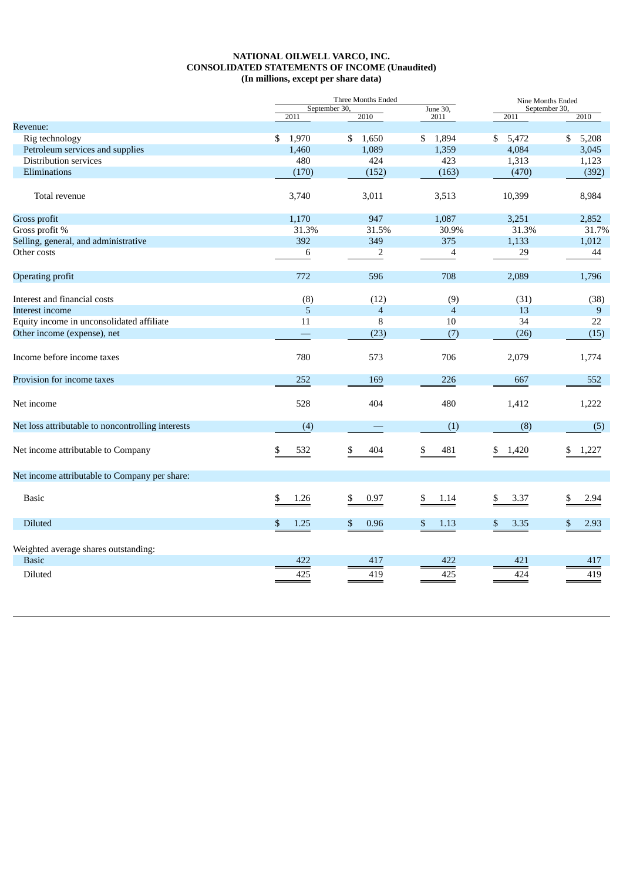#### **NATIONAL OILWELL VARCO, INC. CONSOLIDATED STATEMENTS OF INCOME (Unaudited) (In millions, except per share data)**

|                                                   |             | Three Months Ended<br>September 30,<br>June 30, |                |             | Nine Months Ended<br>September 30, |  |  |
|---------------------------------------------------|-------------|-------------------------------------------------|----------------|-------------|------------------------------------|--|--|
|                                                   | 2011        | 2010                                            | 2011           | 2011        | 2010                               |  |  |
| Revenue:                                          |             |                                                 |                |             |                                    |  |  |
| Rig technology                                    | \$<br>1,970 | \$<br>1,650                                     | \$<br>1,894    | \$<br>5,472 | \$<br>5,208                        |  |  |
| Petroleum services and supplies                   | 1,460       | 1,089                                           | 1,359          | 4,084       | 3,045                              |  |  |
| Distribution services                             | 480         | 424                                             | 423            | 1,313       | 1,123                              |  |  |
| Eliminations                                      | (170)       | (152)                                           | (163)          | (470)       | (392)                              |  |  |
| Total revenue                                     | 3,740       | 3,011                                           | 3,513          | 10,399      | 8,984                              |  |  |
| Gross profit                                      | 1,170       | 947                                             | 1,087          | 3,251       | 2,852                              |  |  |
| Gross profit %                                    | 31.3%       | 31.5%                                           | 30.9%          | 31.3%       | 31.7%                              |  |  |
| Selling, general, and administrative              | 392         | 349                                             | 375            | 1,133       | 1,012                              |  |  |
| Other costs                                       | 6           | $\sqrt{2}$                                      | 4              | 29          | 44                                 |  |  |
| <b>Operating profit</b>                           | 772         | 596                                             | 708            | 2,089       | 1,796                              |  |  |
| Interest and financial costs                      | (8)         | (12)                                            | (9)            | (31)        | (38)                               |  |  |
| Interest income                                   | 5           | $\overline{4}$                                  | $\overline{4}$ | 13          | 9                                  |  |  |
| Equity income in unconsolidated affiliate         | 11          | 8                                               | 10             | 34          | 22                                 |  |  |
| Other income (expense), net                       |             | (23)                                            | (7)            | (26)        | (15)                               |  |  |
| Income before income taxes                        | 780         | 573                                             | 706            | 2,079       | 1,774                              |  |  |
| Provision for income taxes                        | 252         | 169                                             | 226            | 667         | 552                                |  |  |
| Net income                                        | 528         | 404                                             | 480            | 1,412       | 1,222                              |  |  |
| Net loss attributable to noncontrolling interests | (4)         |                                                 | (1)            | (8)         | (5)                                |  |  |
| Net income attributable to Company                | \$<br>532   | \$<br>404                                       | \$<br>481      | \$<br>1,420 | 1,227<br>\$                        |  |  |
| Net income attributable to Company per share:     |             |                                                 |                |             |                                    |  |  |
| <b>Basic</b>                                      | \$<br>1.26  | \$<br>0.97                                      | \$<br>1.14     | \$<br>3.37  | 2.94<br>\$                         |  |  |
| <b>Diluted</b>                                    | \$<br>1.25  | \$<br>0.96                                      | \$<br>1.13     | \$<br>3.35  | \$<br>2.93                         |  |  |
| Weighted average shares outstanding:              |             |                                                 |                |             |                                    |  |  |
| <b>Basic</b>                                      | 422         | 417                                             | 422            | 421         | 417                                |  |  |
| Diluted                                           | 425         | 419                                             | 425            | 424         | 419                                |  |  |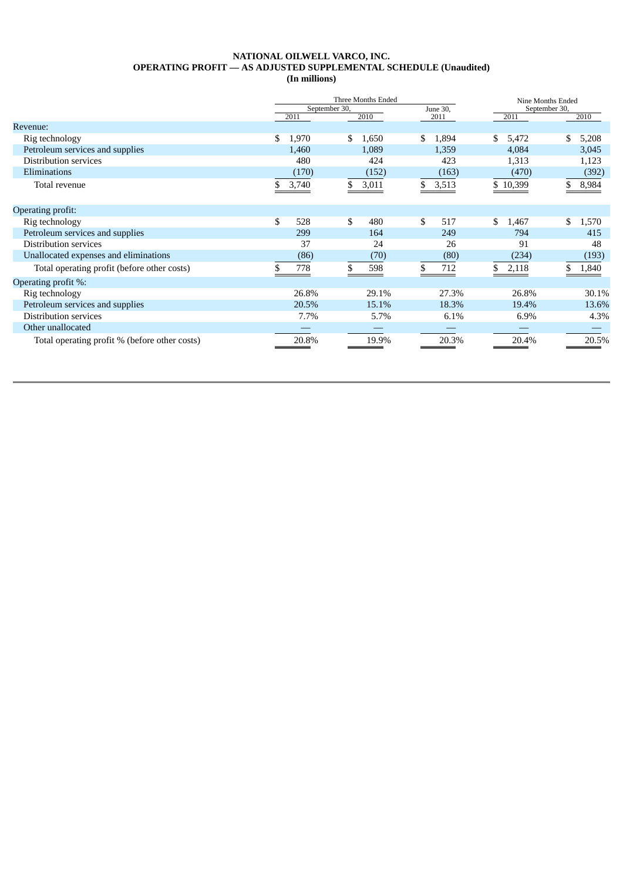## **NATIONAL OILWELL VARCO, INC. OPERATING PROFIT — AS ADJUSTED SUPPLEMENTAL SCHEDULE (Unaudited)**

**(In millions)**

|                                               | Three Months Ended |             |             | Nine Months Ended |             |
|-----------------------------------------------|--------------------|-------------|-------------|-------------------|-------------|
|                                               | September 30,      |             | June 30,    | September 30,     |             |
|                                               | 2011               | 2010        | 2011        | 2011              | 2010        |
| Revenue:                                      |                    |             |             |                   |             |
| Rig technology                                | 1,970<br>\$        | 1,650<br>\$ | 1,894<br>S. | 5,472<br>\$       | \$<br>5,208 |
| Petroleum services and supplies               | 1,460              | 1,089       | 1,359       | 4,084             | 3,045       |
| Distribution services                         | 480                | 424         | 423         | 1,313             | 1,123       |
| Eliminations                                  | (170)              | (152)       | (163)       | (470)             | (392)       |
| Total revenue                                 | 3,740              | 3,011<br>S. | 3,513<br>S. | \$10,399          | 8,984<br>S. |
|                                               |                    |             |             |                   |             |
| Operating profit:                             |                    |             |             |                   |             |
| Rig technology                                | \$<br>528          | \$<br>480   | \$<br>517   | \$<br>1,467       | \$<br>1,570 |
| Petroleum services and supplies               | 299                | 164         | 249         | 794               | 415         |
| Distribution services                         | 37                 | 24          | 26          | 91                | 48          |
| Unallocated expenses and eliminations         | (86)               | (70)        | (80)        | (234)             | (193)       |
| Total operating profit (before other costs)   | 778                | 598         | 712         | 2,118             | 1,840       |
| Operating profit %:                           |                    |             |             |                   |             |
| Rig technology                                | 26.8%              | 29.1%       | 27.3%       | 26.8%             | 30.1%       |
| Petroleum services and supplies               | 20.5%              | 15.1%       | 18.3%       | 19.4%             | 13.6%       |
| Distribution services                         | 7.7%               | 5.7%        | 6.1%        | 6.9%              | 4.3%        |
| Other unallocated                             |                    |             |             |                   |             |
| Total operating profit % (before other costs) | 20.8%              | 19.9%       | 20.3%       | 20.4%             | 20.5%       |